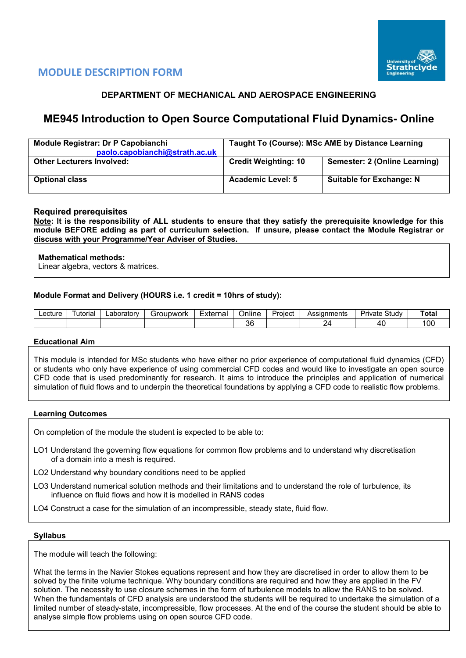

# **MODULE DESCRIPTION FORM**

# **DEPARTMENT OF MECHANICAL AND AEROSPACE ENGINEERING**

# **ME945 Introduction to Open Source Computational Fluid Dynamics- Online**

| Module Registrar: Dr P Capobianchi<br>paolo.capobianchi@strath.ac.uk | Taught To (Course): MSc AME by Distance Learning |                                 |  |  |  |  |  |
|----------------------------------------------------------------------|--------------------------------------------------|---------------------------------|--|--|--|--|--|
| <b>Other Lecturers Involved:</b>                                     | <b>Credit Weighting: 10</b>                      | Semester: 2 (Online Learning)   |  |  |  |  |  |
| <b>Optional class</b>                                                | <b>Academic Level: 5</b>                         | <b>Suitable for Exchange: N</b> |  |  |  |  |  |

## **Required prerequisites**

**Note: It is the responsibility of ALL students to ensure that they satisfy the prerequisite knowledge for this module BEFORE adding as part of curriculum selection. If unsure, please contact the Module Registrar or discuss with your Programme/Year Adviser of Studies.** 

### **Mathematical methods:**

Linear algebra, vectors & matrices.

### **Module Format and Delivery (HOURS i.e. 1 credit = 10hrs of study):**

| ∟ecture | utoria | ∟aborator∨ | `roupwork | <br>External<br>الصاليا | Online    | Project | Assianments | Study<br>Private | $\sim$<br>⊺ota<br>. |
|---------|--------|------------|-----------|-------------------------|-----------|---------|-------------|------------------|---------------------|
|         |        |            |           |                         | nr.<br>υL |         |             | Λ                | '00                 |

#### **Educational Aim**

This module is intended for MSc students who have either no prior experience of computational fluid dynamics (CFD) or students who only have experience of using commercial CFD codes and would like to investigate an open source CFD code that is used predominantly for research. It aims to introduce the principles and application of numerical simulation of fluid flows and to underpin the theoretical foundations by applying a CFD code to realistic flow problems.

#### **Learning Outcomes**

On completion of the module the student is expected to be able to:

- LO1 Understand the governing flow equations for common flow problems and to understand why discretisation of a domain into a mesh is required.
- LO2 Understand why boundary conditions need to be applied
- LO3 Understand numerical solution methods and their limitations and to understand the role of turbulence, its influence on fluid flows and how it is modelled in RANS codes

LO4 Construct a case for the simulation of an incompressible, steady state, fluid flow.

#### **Syllabus**

The module will teach the following:

What the terms in the Navier Stokes equations represent and how they are discretised in order to allow them to be solved by the finite volume technique. Why boundary conditions are required and how they are applied in the FV solution. The necessity to use closure schemes in the form of turbulence models to allow the RANS to be solved. When the fundamentals of CFD analysis are understood the students will be required to undertake the simulation of a limited number of steady-state, incompressible, flow processes. At the end of the course the student should be able to analyse simple flow problems using on open source CFD code.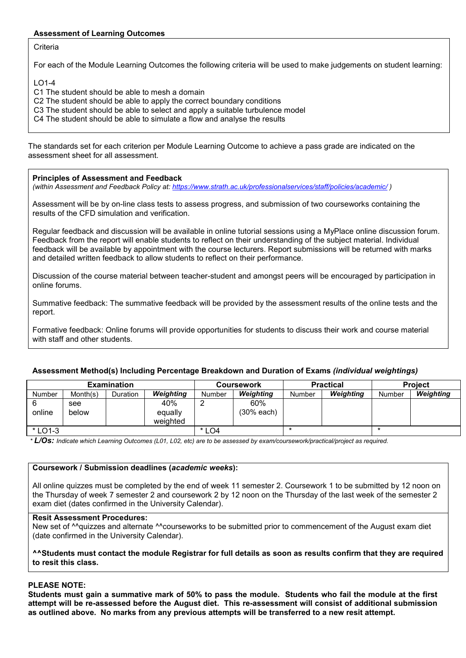## **Assessment of Learning Outcomes**

**Criteria** 

For each of the Module Learning Outcomes the following criteria will be used to make judgements on student learning:

 $LO1-A$ 

C1 The student should be able to mesh a domain

C<sub>2</sub> The student should be able to apply the correct boundary conditions

C3 The student should be able to select and apply a suitable turbulence model

C4 The student should be able to simulate a flow and analyse the results

The standards set for each criterion per Module Learning Outcome to achieve a pass grade are indicated on the assessment sheet for all assessment.

#### **Principles of Assessment and Feedback**

*(within Assessment and Feedback Policy at: <https://www.strath.ac.uk/professionalservices/staff/policies/academic/> )*

Assessment will be by on-line class tests to assess progress, and submission of two courseworks containing the results of the CFD simulation and verification.

Regular feedback and discussion will be available in online tutorial sessions using a MyPlace online discussion forum. Feedback from the report will enable students to reflect on their understanding of the subject material. Individual feedback will be available by appointment with the course lecturers. Report submissions will be returned with marks and detailed written feedback to allow students to reflect on their performance.

Discussion of the course material between teacher-student and amongst peers will be encouraged by participation in online forums.

Summative feedback: The summative feedback will be provided by the assessment results of the online tests and the report.

Formative feedback: Online forums will provide opportunities for students to discuss their work and course material with staff and other students.

#### **Assessment Method(s) Including Percentage Breakdown and Duration of Exams** *(individual weightings)*

|         |          | <b>Examination</b> |                  |         | <b>Coursework</b> |               | <b>Practical</b> | <b>Project</b> |           |  |
|---------|----------|--------------------|------------------|---------|-------------------|---------------|------------------|----------------|-----------|--|
| Number  | Month(s) | <b>Duration</b>    | <b>Weighting</b> | Number  | Weighting         | <b>Number</b> | Weighting        | Number         | Weighting |  |
|         | see      |                    | 40%              |         | 60%               |               |                  |                |           |  |
| online  | below    |                    | equally          |         | (30% each)        |               |                  |                |           |  |
|         |          |                    | weighted         |         |                   |               |                  |                |           |  |
| * LO1-3 |          |                    |                  | $*$ LO4 |                   |               |                  |                |           |  |

*\* L/Os: Indicate which Learning Outcomes (L01, L02, etc) are to be assessed by exam/coursework/practical/project as required.*

#### **Coursework / Submission deadlines (***academic weeks***):**

All online quizzes must be completed by the end of week 11 semester 2. Coursework 1 to be submitted by 12 noon on the Thursday of week 7 semester 2 and coursework 2 by 12 noon on the Thursday of the last week of the semester 2 exam diet (dates confirmed in the University Calendar).

### **Resit Assessment Procedures:**

New set of <sup>^^</sup>quizzes and alternate <sup>^^</sup>courseworks to be submitted prior to commencement of the August exam diet (date confirmed in the University Calendar).

#### **^^Students must contact the module Registrar for full details as soon as results confirm that they are required to resit this class.**

#### **PLEASE NOTE:**

**Students must gain a summative mark of 50% to pass the module. Students who fail the module at the first attempt will be re-assessed before the August diet. This re-assessment will consist of additional submission as outlined above. No marks from any previous attempts will be transferred to a new resit attempt.**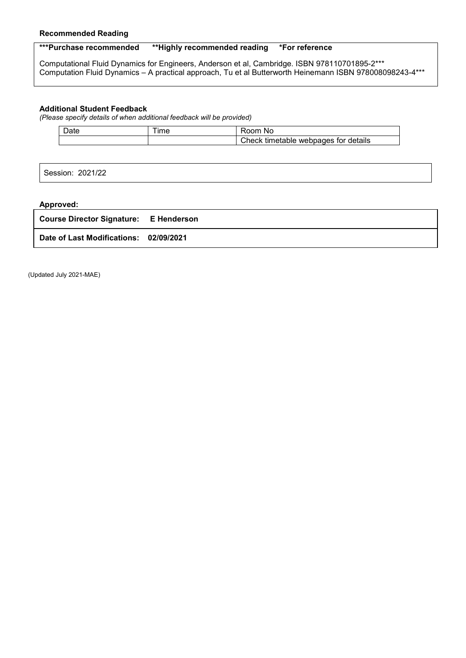### **Recommended Reading**

# **\*\*\*Purchase recommended \*\*Highly recommended reading \*For reference**

Computational Fluid Dynamics for Engineers, Anderson et al, Cambridge. ISBN 978110701895-2\*\*\* Computation Fluid Dynamics – A practical approach, Tu et al Butterworth Heinemann ISBN 978008098243-4\*\*\*

#### **Additional Student Feedback**

*(Please specify details of when additional feedback will be provided)*

| Date | --<br>ıme | ΝC                                         |
|------|-----------|--------------------------------------------|
|      |           | webpages for details<br>Check<br>timetable |

Session: 2021/22

## **Approved:**

| <b>Course Director Signature:</b><br><b>E</b> Henderson |
|---------------------------------------------------------|
|---------------------------------------------------------|

**Date of Last Modifications: 02/09/2021**

(Updated July 2021-MAE)